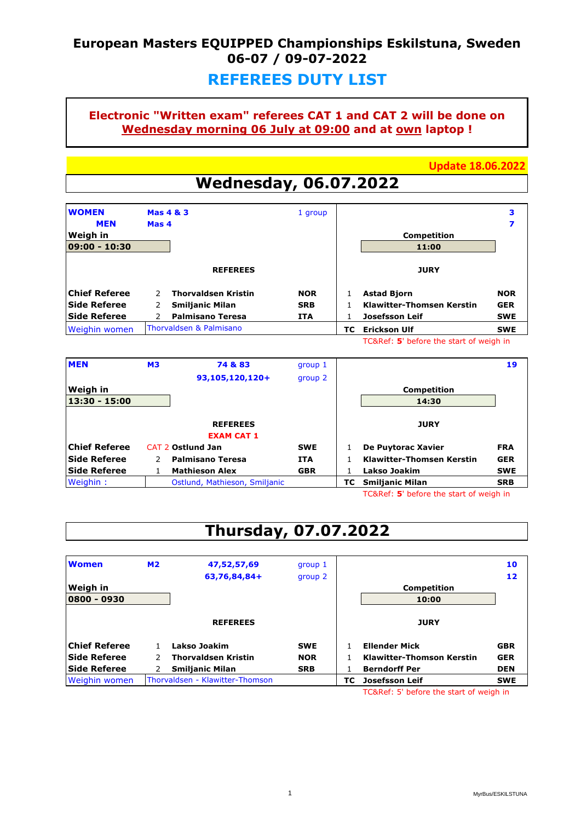## **European Masters EQUIPPED Championships Eskilstuna, Sweden 06-07 / 09-07-2022**

### **REFEREES DUTY LIST**

### **Electronic "Written exam" referees CAT 1 and CAT 2 will be done on Wednesday morning 06 July at 09:00 and at own laptop !**

**Update 18.06.2022**

# **Wednesday, 06.07.2022**

| <b>WOMEN</b><br><b>MEN</b> | <b>Mas 4 &amp; 3</b><br>Mas 4               | 1 group    |    |                                  | 3          |
|----------------------------|---------------------------------------------|------------|----|----------------------------------|------------|
| Weigh in<br>09:00 - 10:30  |                                             |            |    | <b>Competition</b><br>11:00      |            |
|                            | <b>REFEREES</b>                             |            |    | <b>JURY</b>                      |            |
| <b>Chief Referee</b>       | <b>Thorvaldsen Kristin</b><br>$\mathcal{P}$ | <b>NOR</b> |    | <b>Astad Bjorn</b>               | <b>NOR</b> |
| Side Referee               | <b>Smiljanic Milan</b>                      | <b>SRB</b> |    | <b>Klawitter-Thomsen Kerstin</b> | <b>GER</b> |
| <b>Side Referee</b>        | <b>Palmisano Teresa</b>                     | <b>ITA</b> |    | <b>Josefsson Leif</b>            | <b>SWE</b> |
| <b>Weighin women</b>       | Thorvaldsen & Palmisano                     |            | тc | <b>Erickson Ulf</b>              | <b>SWE</b> |

TC&Ref: **5**' before the start of weigh in

| <b>MEN</b>           | <b>M3</b> | 74 & 83                       | group 1    |    |                                         | 19         |
|----------------------|-----------|-------------------------------|------------|----|-----------------------------------------|------------|
|                      |           | 93,105,120,120+               | group 2    |    |                                         |            |
| <b>Weigh in</b>      |           |                               |            |    | <b>Competition</b>                      |            |
| 13:30 - 15:00        |           |                               |            |    | 14:30                                   |            |
|                      |           |                               |            |    |                                         |            |
|                      |           | <b>REFEREES</b>               |            |    | <b>JURY</b>                             |            |
|                      |           | <b>EXAM CAT 1</b>             |            |    |                                         |            |
| <b>Chief Referee</b> |           | <b>CAT 2 Ostlund Jan</b>      | <b>SWE</b> |    | De Puytorac Xavier                      | <b>FRA</b> |
| Side Referee         |           | <b>Palmisano Teresa</b>       | <b>ITA</b> |    | <b>Klawitter-Thomsen Kerstin</b>        | <b>GER</b> |
| Side Referee         |           | <b>Mathieson Alex</b>         | <b>GBR</b> |    | Lakso Joakim                            | <b>SWE</b> |
| Weighin:             |           | Ostlund, Mathieson, Smiljanic |            | тс | <b>Smiljanic Milan</b>                  | <b>SRB</b> |
|                      |           |                               |            |    | TC&Ref: 5' before the start of weigh in |            |

## **Thursday, 07.07.2022**

| <b>Women</b>         | M <sub>2</sub> | 47,52,57,69<br>63,76,84,84+     | group 1<br>group 2 |     |                                  | 10<br>12   |
|----------------------|----------------|---------------------------------|--------------------|-----|----------------------------------|------------|
| <b>Weigh in</b>      |                |                                 |                    |     | <b>Competition</b>               |            |
| 0800 - 0930          |                |                                 |                    |     | 10:00                            |            |
|                      |                | <b>REFEREES</b>                 |                    |     | <b>JURY</b>                      |            |
| <b>Chief Referee</b> |                | Lakso Joakim                    | <b>SWE</b>         |     | <b>Ellender Mick</b>             | <b>GBR</b> |
| Side Referee         |                | <b>Thorvaldsen Kristin</b>      | <b>NOR</b>         |     | <b>Klawitter-Thomson Kerstin</b> | <b>GER</b> |
| <b>Side Referee</b>  |                | <b>Smiljanic Milan</b>          | <b>SRB</b>         |     | <b>Berndorff Per</b>             | <b>DEN</b> |
| <b>Weighin women</b> |                | Thorvaldsen - Klawitter-Thomson |                    | TC. | Josefsson Leif                   | <b>SWE</b> |

TC&Ref: 5' before the start of weigh in